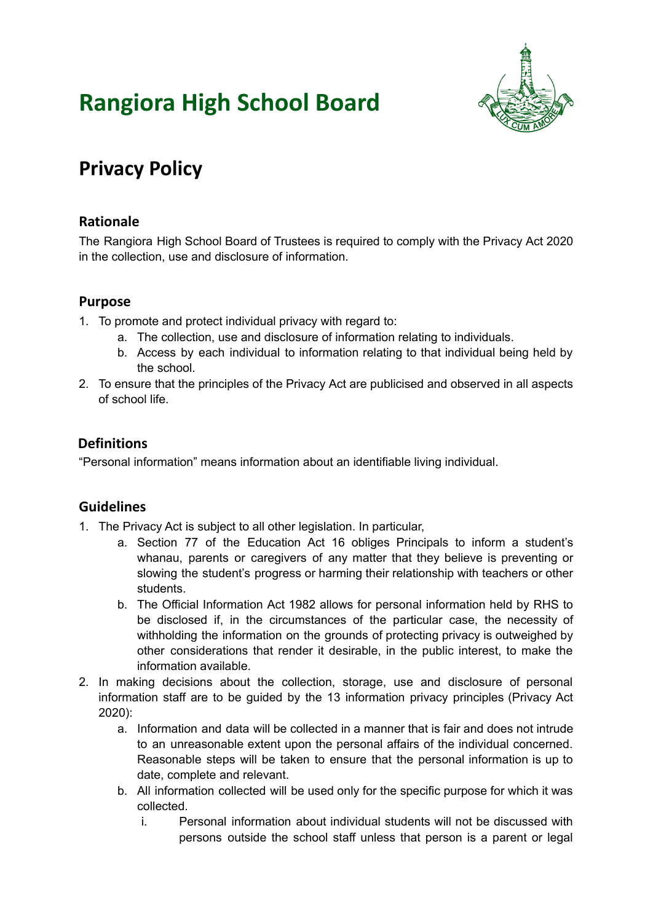# **Rangiora High School Board**



# **Privacy Policy**

## **Rationale**

The Rangiora High School Board of Trustees is required to comply with the Privacy Act 2020 in the collection, use and disclosure of information.

### **Purpose**

- 1. To promote and protect individual privacy with regard to:
	- a. The collection, use and disclosure of information relating to individuals.
	- b. Access by each individual to information relating to that individual being held by the school.
- 2. To ensure that the principles of the Privacy Act are publicised and observed in all aspects of school life.

### **Definitions**

"Personal information" means information about an identifiable living individual.

### **Guidelines**

- 1. The Privacy Act is subject to all other legislation. In particular,
	- a. Section 77 of the Education Act 16 obliges Principals to inform a student's whanau, parents or caregivers of any matter that they believe is preventing or slowing the student's progress or harming their relationship with teachers or other students.
	- b. The Official Information Act 1982 allows for personal information held by RHS to be disclosed if, in the circumstances of the particular case, the necessity of withholding the information on the grounds of protecting privacy is outweighed by other considerations that render it desirable, in the public interest, to make the information available.
- 2. In making decisions about the collection, storage, use and disclosure of personal information staff are to be guided by the 13 information privacy principles (Privacy Act 2020):
	- a. Information and data will be collected in a manner that is fair and does not intrude to an unreasonable extent upon the personal affairs of the individual concerned. Reasonable steps will be taken to ensure that the personal information is up to date, complete and relevant.
	- b. All information collected will be used only for the specific purpose for which it was collected.
		- i. Personal information about individual students will not be discussed with persons outside the school staff unless that person is a parent or legal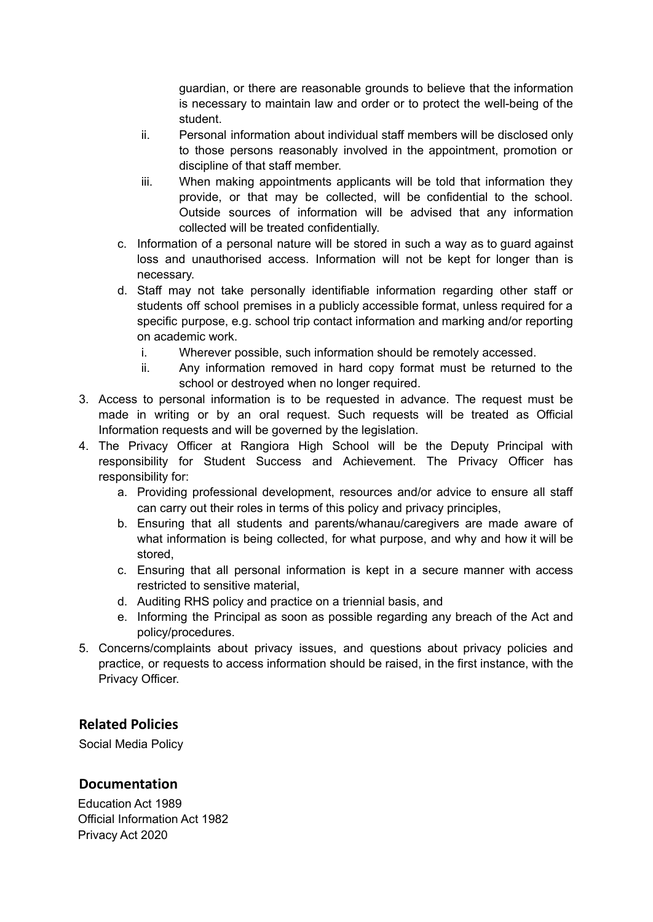guardian, or there are reasonable grounds to believe that the information is necessary to maintain law and order or to protect the well-being of the student.

- ii. Personal information about individual staff members will be disclosed only to those persons reasonably involved in the appointment, promotion or discipline of that staff member.
- iii. When making appointments applicants will be told that information they provide, or that may be collected, will be confidential to the school. Outside sources of information will be advised that any information collected will be treated confidentially.
- c. Information of a personal nature will be stored in such a way as to guard against loss and unauthorised access. Information will not be kept for longer than is necessary.
- d. Staff may not take personally identifiable information regarding other staff or students off school premises in a publicly accessible format, unless required for a specific purpose, e.g. school trip contact information and marking and/or reporting on academic work.
	- i. Wherever possible, such information should be remotely accessed.
	- ii. Any information removed in hard copy format must be returned to the school or destroyed when no longer required.
- 3. Access to personal information is to be requested in advance. The request must be made in writing or by an oral request. Such requests will be treated as Official Information requests and will be governed by the legislation.
- 4. The Privacy Officer at Rangiora High School will be the Deputy Principal with responsibility for Student Success and Achievement. The Privacy Officer has responsibility for:
	- a. Providing professional development, resources and/or advice to ensure all staff can carry out their roles in terms of this policy and privacy principles,
	- b. Ensuring that all students and parents/whanau/caregivers are made aware of what information is being collected, for what purpose, and why and how it will be stored,
	- c. Ensuring that all personal information is kept in a secure manner with access restricted to sensitive material,
	- d. Auditing RHS policy and practice on a triennial basis, and
	- e. Informing the Principal as soon as possible regarding any breach of the Act and policy/procedures.
- 5. Concerns/complaints about privacy issues, and questions about privacy policies and practice, or requests to access information should be raised, in the first instance, with the Privacy Officer.

#### **Related Policies**

Social Media Policy

#### **Documentation**

[Education](http://www.legislation.govt.nz/act/public/1989/0080/latest/DLM175959.html) Act 1989 Official [Information](http://www.legislation.govt.nz/act/public/1982/0156/latest/DLM64785.html) Act 1982 [Privacy](https://www.legislation.govt.nz/act/public/2020/0031/latest/LMS23223.html) Act 2020